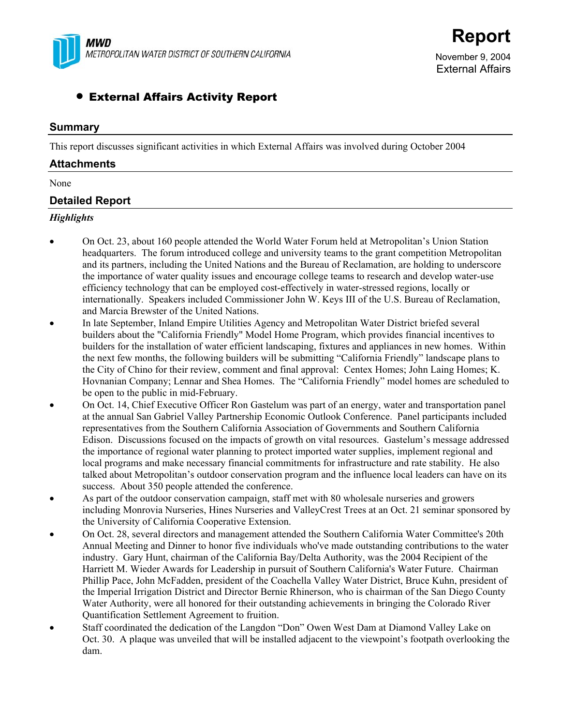

External Affairs

# • External Affairs Activity Report

### **Summary**

This report discusses significant activities in which External Affairs was involved during October 2004

### **Attachments**

None

# **Detailed Report**

### *Highlights*

- On Oct. 23, about 160 people attended the World Water Forum held at Metropolitan's Union Station headquarters. The forum introduced college and university teams to the grant competition Metropolitan and its partners, including the United Nations and the Bureau of Reclamation, are holding to underscore the importance of water quality issues and encourage college teams to research and develop water-use efficiency technology that can be employed cost-effectively in water-stressed regions, locally or internationally. Speakers included Commissioner John W. Keys III of the U.S. Bureau of Reclamation, and Marcia Brewster of the United Nations.
- In late September, Inland Empire Utilities Agency and Metropolitan Water District briefed several builders about the "California Friendly" Model Home Program, which provides financial incentives to builders for the installation of water efficient landscaping, fixtures and appliances in new homes. Within the next few months, the following builders will be submitting "California Friendly" landscape plans to the City of Chino for their review, comment and final approval: Centex Homes; John Laing Homes; K. Hovnanian Company; Lennar and Shea Homes. The "California Friendly" model homes are scheduled to be open to the public in mid-February.
- On Oct. 14, Chief Executive Officer Ron Gastelum was part of an energy, water and transportation panel at the annual San Gabriel Valley Partnership Economic Outlook Conference. Panel participants included representatives from the Southern California Association of Governments and Southern California Edison. Discussions focused on the impacts of growth on vital resources. Gastelum's message addressed the importance of regional water planning to protect imported water supplies, implement regional and local programs and make necessary financial commitments for infrastructure and rate stability. He also talked about Metropolitan's outdoor conservation program and the influence local leaders can have on its success. About 350 people attended the conference.
- As part of the outdoor conservation campaign, staff met with 80 wholesale nurseries and growers including Monrovia Nurseries, Hines Nurseries and ValleyCrest Trees at an Oct. 21 seminar sponsored by the University of California Cooperative Extension.
- On Oct. 28, several directors and management attended the Southern California Water Committee's 20th Annual Meeting and Dinner to honor five individuals who've made outstanding contributions to the water industry. Gary Hunt, chairman of the California Bay/Delta Authority, was the 2004 Recipient of the Harriett M. Wieder Awards for Leadership in pursuit of Southern California's Water Future. Chairman Phillip Pace, John McFadden, president of the Coachella Valley Water District, Bruce Kuhn, president of the Imperial Irrigation District and Director Bernie Rhinerson, who is chairman of the San Diego County Water Authority, were all honored for their outstanding achievements in bringing the Colorado River Quantification Settlement Agreement to fruition.
- Staff coordinated the dedication of the Langdon "Don" Owen West Dam at Diamond Valley Lake on Oct. 30. A plaque was unveiled that will be installed adjacent to the viewpoint's footpath overlooking the dam.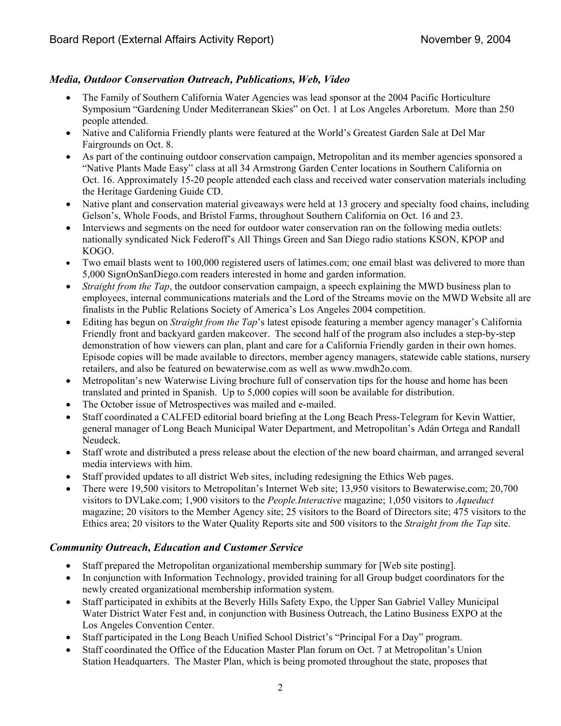# *Media, Outdoor Conservation Outreach, Publications, Web, Video*

- The Family of Southern California Water Agencies was lead sponsor at the 2004 Pacific Horticulture Symposium "Gardening Under Mediterranean Skies" on Oct. 1 at Los Angeles Arboretum. More than 250 people attended.
- Native and California Friendly plants were featured at the World's Greatest Garden Sale at Del Mar Fairgrounds on Oct. 8.
- As part of the continuing outdoor conservation campaign, Metropolitan and its member agencies sponsored a "Native Plants Made Easy" class at all 34 Armstrong Garden Center locations in Southern California on Oct. 16. Approximately 15-20 people attended each class and received water conservation materials including the Heritage Gardening Guide CD.
- Native plant and conservation material giveaways were held at 13 grocery and specialty food chains, including Gelson's, Whole Foods, and Bristol Farms, throughout Southern California on Oct. 16 and 23.
- Interviews and segments on the need for outdoor water conservation ran on the following media outlets: nationally syndicated Nick Federoff's All Things Green and San Diego radio stations KSON, KPOP and KOGO.
- Two email blasts went to 100,000 registered users of latimes.com; one email blast was delivered to more than 5,000 SignOnSanDiego.com readers interested in home and garden information.
- *Straight from the Tap*, the outdoor conservation campaign, a speech explaining the MWD business plan to employees, internal communications materials and the Lord of the Streams movie on the MWD Website all are finalists in the Public Relations Society of America's Los Angeles 2004 competition.
- Editing has begun on *Straight from the Tap*'s latest episode featuring a member agency manager's California Friendly front and backyard garden makeover. The second half of the program also includes a step-by-step demonstration of how viewers can plan, plant and care for a California Friendly garden in their own homes. Episode copies will be made available to directors, member agency managers, statewide cable stations, nursery retailers, and also be featured on bewaterwise.com as well as www.mwdh2o.com.
- Metropolitan's new Waterwise Living brochure full of conservation tips for the house and home has been translated and printed in Spanish. Up to 5,000 copies will soon be available for distribution.
- The October issue of Metrospectives was mailed and e-mailed.
- Staff coordinated a CALFED editorial board briefing at the Long Beach Press-Telegram for Kevin Wattier, general manager of Long Beach Municipal Water Department, and Metropolitan's Adán Ortega and Randall Neudeck.
- Staff wrote and distributed a press release about the election of the new board chairman, and arranged several media interviews with him.
- Staff provided updates to all district Web sites, including redesigning the Ethics Web pages.
- There were 19,500 visitors to Metropolitan's Internet Web site; 13,950 visitors to Bewaterwise.com; 20,700 visitors to DVLake.com; 1,900 visitors to the *People.Interactive* magazine; 1,050 visitors to *Aqueduct* magazine; 20 visitors to the Member Agency site; 25 visitors to the Board of Directors site; 475 visitors to the Ethics area; 20 visitors to the Water Quality Reports site and 500 visitors to the *Straight from the Tap* site.

## *Community Outreach, Education and Customer Service*

- Staff prepared the Metropolitan organizational membership summary for [Web site posting].
- In conjunction with Information Technology, provided training for all Group budget coordinators for the newly created organizational membership information system.
- Staff participated in exhibits at the Beverly Hills Safety Expo, the Upper San Gabriel Valley Municipal Water District Water Fest and, in conjunction with Business Outreach, the Latino Business EXPO at the Los Angeles Convention Center.
- Staff participated in the Long Beach Unified School District's "Principal For a Day" program.
- Staff coordinated the Office of the Education Master Plan forum on Oct. 7 at Metropolitan's Union Station Headquarters. The Master Plan, which is being promoted throughout the state, proposes that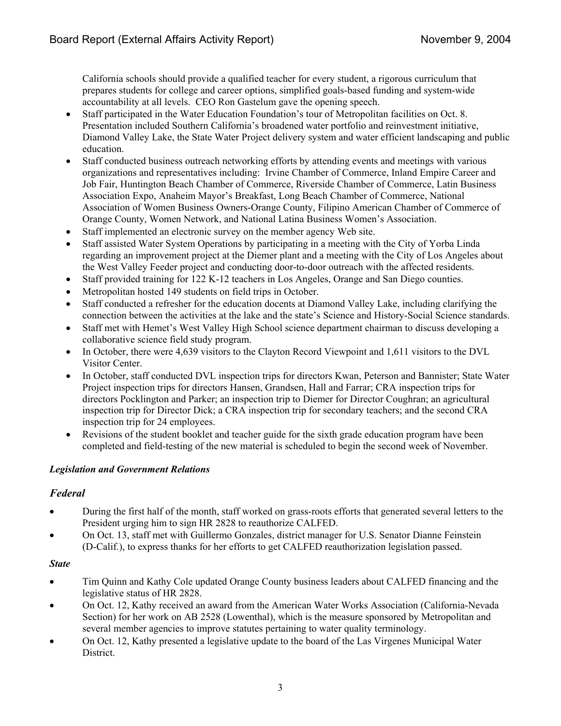California schools should provide a qualified teacher for every student, a rigorous curriculum that prepares students for college and career options, simplified goals-based funding and system-wide accountability at all levels. CEO Ron Gastelum gave the opening speech.

- Staff participated in the Water Education Foundation's tour of Metropolitan facilities on Oct. 8. Presentation included Southern California's broadened water portfolio and reinvestment initiative, Diamond Valley Lake, the State Water Project delivery system and water efficient landscaping and public education.
- Staff conducted business outreach networking efforts by attending events and meetings with various organizations and representatives including: Irvine Chamber of Commerce, Inland Empire Career and Job Fair, Huntington Beach Chamber of Commerce, Riverside Chamber of Commerce, Latin Business Association Expo, Anaheim Mayor's Breakfast, Long Beach Chamber of Commerce, National Association of Women Business Owners-Orange County, Filipino American Chamber of Commerce of Orange County, Women Network, and National Latina Business Women's Association.
- Staff implemented an electronic survey on the member agency Web site.
- Staff assisted Water System Operations by participating in a meeting with the City of Yorba Linda regarding an improvement project at the Diemer plant and a meeting with the City of Los Angeles about the West Valley Feeder project and conducting door-to-door outreach with the affected residents.
- Staff provided training for 122 K-12 teachers in Los Angeles, Orange and San Diego counties.
- Metropolitan hosted 149 students on field trips in October.
- Staff conducted a refresher for the education docents at Diamond Valley Lake, including clarifying the connection between the activities at the lake and the state's Science and History-Social Science standards.
- Staff met with Hemet's West Valley High School science department chairman to discuss developing a collaborative science field study program.
- In October, there were 4,639 visitors to the Clayton Record Viewpoint and 1,611 visitors to the DVL Visitor Center.
- In October, staff conducted DVL inspection trips for directors Kwan, Peterson and Bannister; State Water Project inspection trips for directors Hansen, Grandsen, Hall and Farrar; CRA inspection trips for directors Pocklington and Parker; an inspection trip to Diemer for Director Coughran; an agricultural inspection trip for Director Dick; a CRA inspection trip for secondary teachers; and the second CRA inspection trip for 24 employees.
- Revisions of the student booklet and teacher guide for the sixth grade education program have been completed and field-testing of the new material is scheduled to begin the second week of November.

### *Legislation and Government Relations*

### *Federal*

- During the first half of the month, staff worked on grass-roots efforts that generated several letters to the President urging him to sign HR 2828 to reauthorize CALFED.
- On Oct. 13, staff met with Guillermo Gonzales, district manager for U.S. Senator Dianne Feinstein (D-Calif.), to express thanks for her efforts to get CALFED reauthorization legislation passed.

### *State*

- Tim Quinn and Kathy Cole updated Orange County business leaders about CALFED financing and the legislative status of HR 2828.
- On Oct. 12, Kathy received an award from the American Water Works Association (California-Nevada Section) for her work on AB 2528 (Lowenthal), which is the measure sponsored by Metropolitan and several member agencies to improve statutes pertaining to water quality terminology.
- On Oct. 12, Kathy presented a legislative update to the board of the Las Virgenes Municipal Water District.